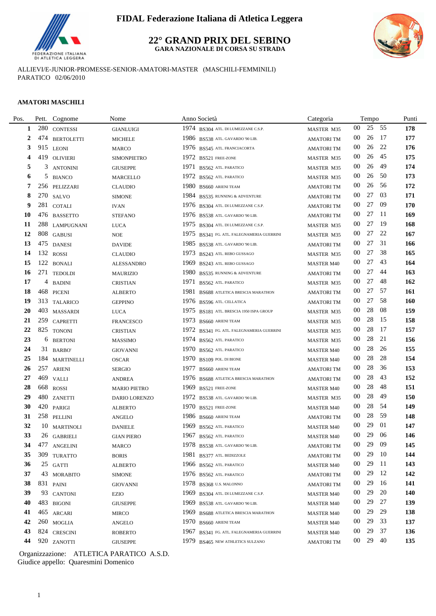

### **22° GRAND PRIX DEL SEBINO GARA NAZIONALE DI CORSA SU STRADA**



ALLIEVI/E-JUNIOR-PROMESSE-SENIOR-AMATORI-MASTER (MASCHILI-FEMMINILI) PARATICO 02/06/2010

### **AMATORI MASCHILI**

÷.

| Pos.      | Pett. | Cognome           | Nome                    | Anno Società                              | Categoria         |                 | Tempo |      | Punti |
|-----------|-------|-------------------|-------------------------|-------------------------------------------|-------------------|-----------------|-------|------|-------|
| 1         | 280   | <b>CONTESSI</b>   | <b>GIANLUIGI</b>        | 1974 BS304 ATL. DI LUMEZZANE C.S.P.       | MASTER M35        | 00              | 25    | - 55 | 178   |
| 2         | 474   | <b>BERTOLETTI</b> | <b>MICHELE</b>          | 1986 BS538 ATL. GAVARDO '90 LIB.          | <b>AMATORITM</b>  | 00              | 26    | - 17 | 177   |
| 3         | 915   | <b>LEONI</b>      | <b>MARCO</b>            | 1976 BS545 ATL. FRANCIACORTA              | <b>AMATORITM</b>  | $00\,$          | 26    | 22   | 176   |
| 4         | 419   | <b>OLIVIERI</b>   | <b>SIMONPIETRO</b>      | 1972 BS521 FREE-ZONE                      | MASTER M35        | $00\,$          | 26    | 45   | 175   |
| 5         | 3     | <b>ANTONINI</b>   | <b>GIUSEPPE</b>         | 1971 BS562 ATL PARATICO                   | MASTER M35        | $00\,$          | 26    | -49  | 174   |
| 6         | 5     | <b>BIANCO</b>     | MARCELLO                | 1972 BS562 ATL PARATICO                   | MASTER M35        | 00              | 26    | -50  | 173   |
| 7         |       | 256 PELIZZARI     | <b>CLAUDIO</b>          | 1980 BS660 ARIENI TEAM                    | <b>AMATORITM</b>  | 00              | 26    | -56  | 172   |
| 8         |       | 270 SALVO         | <b>SIMONE</b>           | 1984 BS535 RUNNING & ADVENTURE            | <b>AMATORITM</b>  | $00\,$          | 27    | 03   | 171   |
| 9         |       | 281 COTALI        | <b>IVAN</b>             | 1976 BS304 ATL. DI LUMEZZANE C.S.P.       | <b>AMATORITM</b>  | $00\,$          | 27    | 09   | 170   |
| <b>10</b> |       | 476 BASSETTO      | <b>STEFANO</b>          | 1976 BS538 ATL. GAVARDO '90 LIB.          | <b>AMATORITM</b>  | $00\,$          | 27    | -11  | 169   |
| 11        |       | 288 LAMPUGNANI    | <b>LUCA</b>             | 1975 BS304 ATL. DI LUMEZZANE C.S.P.       | MASTER M35        | 00              | 27    | -19  | 168   |
| 12        |       | 808 GABUSI        | <b>NOE</b>              | 1975 BS341 FG. ATL. FALEGNAMERIA GUERRINI | MASTER M35        | 00              | 27    | 22   | 167   |
| 13        |       | 475 DANESI        | <b>DAVIDE</b>           | 1985 BS538 ATL. GAVARDO '90 LIB.          | <b>AMATORITM</b>  | 00              | 27    | 31   | 166   |
| 14        |       | 132 ROSSI         | <b>CLAUDIO</b>          | 1973 BS243 ATL. REBO GUSSAGO              | MASTER M35        | 00              | 27    | 38   | 165   |
| 15        |       | 122 BONALI        | <b>ALESSANDRO</b>       | 1969 BS243 ATL. REBO GUSSAGO              | <b>MASTER M40</b> | 00              | 27    | 43   | 164   |
| 16        |       | 271 TEDOLDI       | <b>MAURIZIO</b>         | 1980<br>BS535 RUNNING & ADVENTURE         | <b>AMATORITM</b>  | 00              | 27    | 44   | 163   |
| 17        | 4     | <b>BADINI</b>     | <b>CRISTIAN</b>         | 1971 BS562 ATL. PARATICO                  | MASTER M35        | 00              | 27    | 48   | 162   |
| 18        |       | 468 PICENI        | <b>ALBERTO</b>          | 1981 BS688 ATLETICA BRESCIA MARATHON      | <b>AMATORI TM</b> | 00              | 27    | -57  | 161   |
| 19        |       | 313 TALARICO      | <b>GEPPINO</b>          | 1976 BS596 ATL. CELLATICA                 | <b>AMATORITM</b>  | 00              | 27    | -58  | 160   |
| 20        |       | 403 MASSARDI      | <b>LUCA</b>             | 1975 BS181 ATL. BRESCIA 1950 ISPA GROUP   | MASTER M35        | $00\,$          | 28    | 08   | 159   |
| 21        | 259   | <b>CAPRETTI</b>   | <b>FRANCESCO</b>        | 1973 BS660 ARIENI TEAM                    | MASTER M35        | $00\,$          | 28    | -15  | 158   |
| 22        |       | 825 TONONI        | <b>CRISTIAN</b>         | 1972 BS341 FG. ATL. FALEGNAMERIA GUERRINI | MASTER M35        | $00\,$          | 28    | -17  | 157   |
| 23        |       | 6 BERTONI         | <b>MASSIMO</b>          | 1974 BS562 ATL PARATICO                   | MASTER M35        | 00              | 28    | 21   | 156   |
| 24        |       | 31 BARBO'         | <b>GIOVANNI</b>         | 1970 BS562 ATL. PARATICO                  | <b>MASTER M40</b> | 00              | 28    | 26   | 155   |
| 25        |       | 184 MARTINELLI    | <b>OSCAR</b>            | 1970 BS109 POL. DI BIONE                  | <b>MASTER M40</b> | $00\,$          | 28    | 28   | 154   |
| 26        |       | 257 ARIENI        | <b>SERGIO</b>           | 1977 BS660 ARIENI TEAM                    | <b>AMATORITM</b>  | $00\,$          | 28    | 36   | 153   |
| 27        | 469   | VALLI             | <b>ANDREA</b>           | 1976 BS688 ATLETICA BRESCIA MARATHON      | <b>AMATORITM</b>  | $00\,$          | 28    | 43   | 152   |
| 28        |       | 668 ROSSI         | <b>MARIO PIETRO</b>     | 1969 BS521 FREE-ZONE                      | <b>MASTER M40</b> | 00              | 28    | 48   | 151   |
| 29        |       | 480 ZANETTI       | DARIO LORENZO           | 1972 BS538 ATL. GAVARDO '90 LIB.          | MASTER M35        | 00              | 28    | 49   | 150   |
| 30        |       | 420 PARIGI        | <b>ALBERTO</b>          | 1970 BS521 FREE-ZONE                      | <b>MASTER M40</b> | 00              | 28    | -54  | 149   |
| 31        |       | 258 PELLINI       | ANGELO                  | 1986 BS660 ARIENI TEAM                    | <b>AMATORITM</b>  | 00              | 28    | -59  | 148   |
| 32        |       | 10 MARTINOLI      | <b>DANIELE</b>          | 1969 BS562 ATL. PARATICO                  | <b>MASTER M40</b> | 00              | 29    | 01   | 147   |
| 33        |       | 26 GABRIELI       | <b>GIAN PIERO</b>       | 1967 BS562 ATL PARATICO                   | <b>MASTER M40</b> | $00\,$          | 29    | 06   | 146   |
| 34        |       | 477 ANGELINI      | <b>MARCO</b>            | 1978 BS538 ATL. GAVARDO '90 LIB.          | AMATORI TM        | $00\,$          | 29    | 09   | 145   |
| 35        |       | 309 TURATTO       | <b>BORIS</b>            | 1981 BS377 ATL. BEDIZZOLE                 | <b>AMATORITM</b>  | 00              | 29    | - 10 | 144   |
| 36        |       | 25 GATTI          | <b>ALBERTO</b>          | 1966 BS562 ATL PARATICO                   | <b>MASTER M40</b> | 00              | 29    | -11  | 143   |
| 37        |       | 43 MORABITO       | <b>SIMONE</b>           | 1976 BS562 ATL PARATICO                   | <b>AMATORITM</b>  | $00\,$          | 29    | - 12 | 142   |
| 38        |       | 831 PAINI         | <b>GIOVANNI</b>         | 1978 BS368 U.S. MALONNO                   | <b>AMATORITM</b>  | 00              | 29    | - 16 | 141   |
| 39        |       | 93 CANTONI        | EZIO                    | 1969 BS304 ATL. DI LUMEZZANE C.S.P.       | <b>MASTER M40</b> | 00              | 29    | 20   | 140   |
| 40        |       | 483 BIGONI        | <b>GIUSEPPE</b>         | 1969 BS538 ATL. GAVARDO '90 LIB.          | <b>MASTER M40</b> | 00              | 29    | 27   | 139   |
| 41        |       | 465 ARCARI        | MIRCO                   | 1969 BS688 ATLETICA BRESCIA MARATHON      | <b>MASTER M40</b> | 00              | 29    | 29   | 138   |
| 42        |       | 260 MOGLIA        | $\operatorname{ANGELO}$ | 1970 BS660 ARIENI TEAM                    | <b>MASTER M40</b> | 00              | 29    | 33   | 137   |
| 43        |       | 824 CRESCINI      | <b>ROBERTO</b>          | 1967 BS341 FG. ATL. FALEGNAMERIA GUERRINI | <b>MASTER M40</b> | 00              | 29    | 37   | 136   |
| 44        |       | 920 ZANOTTI       | <b>GIUSEPPE</b>         | 1979 BS465 NEW ATHLETICS SULZANO          | <b>AMATORITM</b>  | 00 <sup>°</sup> | 29    | 40   | 135   |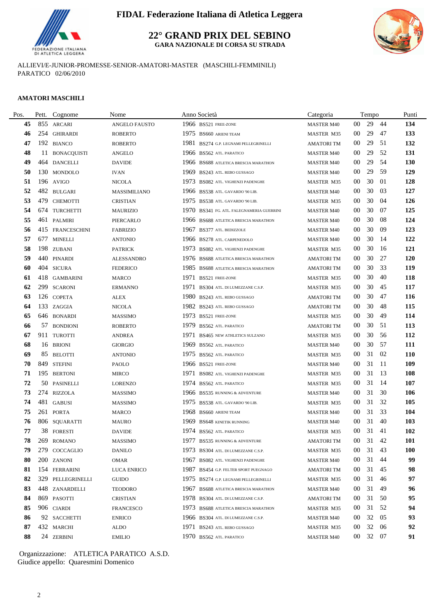

**22° GRAND PRIX DEL SEBINO GARA NAZIONALE DI CORSA SU STRADA**



ALLIEVI/E-JUNIOR-PROMESSE-SENIOR-AMATORI-MASTER (MASCHILI-FEMMINILI) PARATICO 02/06/2010

### **AMATORI MASCHILI**

| Pos. |     | Pett. Cognome     | Nome                 |      | Anno Società                              | Categoria         |                 | Tempo    |     | Punti      |
|------|-----|-------------------|----------------------|------|-------------------------------------------|-------------------|-----------------|----------|-----|------------|
| 45   |     | 855 ARCARI        | <b>ANGELO FAUSTO</b> |      | 1966 BS521 FREE-ZONE                      | <b>MASTER M40</b> | 00              | 29       | 44  | 134        |
| 46   |     | 254 GHIRARDI      | <b>ROBERTO</b>       |      | 1975 BS660 ARIENI TEAM                    | MASTER M35        | 00              | 29       | 47  | 133        |
| 47   |     | 192 BIANCO        | <b>ROBERTO</b>       | 1981 | BS274 G.P. LEGNAMI PELLEGRINELLI          | <b>AMATORITM</b>  | $00\,$          | 29       | 51  | 132        |
| 48   |     | 11 BONACQUISTI    | <b>ANGELO</b>        |      | 1966 BS562 ATL. PARATICO                  | <b>MASTER M40</b> | $00\,$          | 29       | 52  | 131        |
| 49   |     | 464 DANCELLI      | <b>DAVIDE</b>        |      | 1966 BS688 ATLETICA BRESCIA MARATHON      | <b>MASTER M40</b> | $00\,$          | 29       | 54  | 130        |
| 50   |     | 130 MONDOLO       | IVAN                 | 1969 | BS243 ATL. REBO GUSSAGO                   | <b>MASTER M40</b> | 00              | 29       | 59  | 129        |
| 51   |     | 196 AVIGO         | NICOLA               |      | 1973 BS082 ATL. VIGHENZI PADENGHE         | <b>MASTER M35</b> | 00              | 30       | -01 | 128        |
| 52   |     | 482 BULGARI       | MASSIMILIANO         |      | 1966 BS538 ATL. GAVARDO '90 LIB.          | <b>MASTER M40</b> | $00\,$          | 30       | 03  | 127        |
| 53   | 479 | <b>CHEMOTTI</b>   | <b>CRISTIAN</b>      |      | 1975 BS538 ATL. GAVARDO '90 LIB.          | <b>MASTER M35</b> | $00\,$          | 30       | 04  | 126        |
| 54   |     | 674 TURCHETTI     | <b>MAURIZIO</b>      |      | 1970 BS341 FG. ATL. FALEGNAMERIA GUERRINI | <b>MASTER M40</b> | $00\,$          | 30       | 07  | 125        |
| 55   |     | 461 PALMIRI       | PIERCARLO            |      | 1966 BS688 ATLETICA BRESCIA MARATHON      | <b>MASTER M40</b> | 00              | 30       | 08  | 124        |
| 56   |     | 415 FRANCESCHINI  | <b>FABRIZIO</b>      | 1967 | BS377 ATL. BEDIZZOLE                      | <b>MASTER M40</b> | 00              | 30       | -09 | 123        |
| 57   |     | 677 MINELLI       | <b>ANTONIO</b>       |      | 1966 BS278 ATL. CARPENEDOLO               | <b>MASTER M40</b> | 00              | 30       | -14 | 122        |
| 58   |     | 198 ZUBANI        | <b>PATRICK</b>       | 1973 | <b>BS082 ATL. VIGHENZI PADENGHE</b>       | <b>MASTER M35</b> | 00              | 30       | 16  | 121        |
| 59   |     | 440 PINARDI       | <b>ALESSANDRO</b>    |      | 1976 BS688 ATLETICA BRESCIA MARATHON      | <b>AMATORI TM</b> | $00\,$          | 30       | 27  | 120        |
| 60   |     | 404 SICURA        | <b>FEDERICO</b>      |      | 1985 BS688 ATLETICA BRESCIA MARATHON      | <b>AMATORITM</b>  | 00              | 30       | 33  | 119        |
| 61   |     | 418 GAMBARINI     | <b>MARCO</b>         | 1971 | BS521 FREE-ZONE                           | MASTER M35        | 00              | 30       | 40  | 118        |
| 62   | 299 | SCARONI           | <b>ERMANNO</b>       | 1971 | BS304 ATL. DI LUMEZZANE C.S.P.            | MASTER M35        | 00              | 30       | 45  | 117        |
| 63   |     | 126 COPETA        | ALEX                 | 1980 | BS243 ATL. REBO GUSSAGO                   | <b>AMATORITM</b>  | $00\,$          | 30       | 47  | 116        |
| 64   |     | 133 ZAGGIA        | <b>NICOLA</b>        |      | 1982 BS243 ATL. REBO GUSSAGO              | <b>AMATORI TM</b> | $00\,$          | 30       | 48  | 115        |
| 65   |     | 646 BONARDI       | <b>MASSIMO</b>       |      | 1973 BS521 FREE-ZONE                      | MASTER M35        | $00\,$          | 30       | 49  | 114        |
| 66   | 57  | <b>BONDIONI</b>   | <b>ROBERTO</b>       | 1979 | BS562 ATL. PARATICO                       | <b>AMATORITM</b>  | 00              | 30       | 51  | 113        |
| 67   |     | 911 TUROTTI       | <b>ANDREA</b>        | 1971 | BS465 NEW ATHLETICS SULZANO               | <b>MASTER M35</b> | 00              | 30       | 56  | 112        |
| 68   |     | 16 BRIONI         | <b>GIORGIO</b>       | 1969 | <b>BS562 ATL. PARATICO</b>                | <b>MASTER M40</b> | 00              | 30       | 57  | 111        |
| 69   |     | 85 BELOTTI        | <b>ANTONIO</b>       |      | 1975 BS562 ATL. PARATICO                  | <b>MASTER M35</b> | 00              | 31       | 02  | <b>110</b> |
| 70   |     | 849 STEFINI       | <b>PAOLO</b>         |      | 1966 BS521 FREE-ZONE                      | <b>MASTER M40</b> | $00\,$          | 31       | -11 | 109        |
| 71   |     | 195 BERTONI       | <b>MIRCO</b>         | 1971 | <b>BS082 ATL. VIGHENZI PADENGHE</b>       | MASTER M35        | 00              | 31       | 13  | 108        |
| 72   | 50  | PASINELLI         | <b>LORENZO</b>       |      | 1974 BS562 ATL. PARATICO                  | <b>MASTER M35</b> | 00              | 31       | -14 | 107        |
| 73   |     | 274 RIZZOLA       | <b>MASSIMO</b>       |      | 1966 BS535 RUNNING & ADVENTURE            | <b>MASTER M40</b> | 00              | 31       | 30  | 106        |
| 74   | 481 | GABUSI            | <b>MASSIMO</b>       | 1975 | BS538 ATL. GAVARDO '90 LIB.               | <b>MASTER M35</b> | $00\,$          | 31       | 32  | 105        |
| 75   |     | 261 PORTA         | <b>MARCO</b>         |      | 1968 BS660 ARIENI TEAM                    | <b>MASTER M40</b> | $00\,$          | 31       | 33  | 104        |
| 76   |     | 806 SQUARATTI     | <b>MAURO</b>         |      | 1969 BS648 KINETIK RUNNING                | <b>MASTER M40</b> | $00\,$          | 31       | 40  | 103        |
| 77   |     | 38 FORESTI        | <b>DAVIDE</b>        |      | 1974 BS562 ATL PARATICO                   | MASTER M35        | 00              | 31       | 41  | 102        |
| 78   |     | 269 ROMANO        | MASSIMO              |      | 1977 BS535 RUNNING & ADVENTURE            | AMATORI TM        |                 | 00 31 42 |     | <b>101</b> |
| 79   |     | 279 COCCAGLIO     | <b>DANILO</b>        |      | 1973 BS304 ATL. DI LUMEZZANE C.S.P.       | <b>MASTER M35</b> | $00\,$          | 31       | 43  | <b>100</b> |
| 80   |     | 200 ZANONI        | <b>OMAR</b>          |      | 1967 BS082 ATL. VIGHENZI PADENGHE         | <b>MASTER M40</b> | 00              | 31       | 44  | 99         |
| 81   |     | 154 FERRARINI     | <b>LUCA ENRICO</b>   |      | 1987 BS454 G.P. FELTER SPORT PUEGNAGO     | <b>AMATORITM</b>  | 00 <sup>°</sup> | 31       | 45  | 98         |
| 82   |     | 329 PELLEGRINELLI | <b>GUIDO</b>         |      | 1975 BS274 G.P. LEGNAMI PELLEGRINELLI     | MASTER M35        | 00              | 31       | 46  | 97         |
| 83   |     | 448 ZANARDELLI    | <b>TEODORO</b>       |      | 1967 BS688 ATLETICA BRESCIA MARATHON      | <b>MASTER M40</b> | 00              | 31       | 49  | 96         |
| 84   |     | 869 PASOTTI       | <b>CRISTIAN</b>      |      | 1978 BS304 ATL. DI LUMEZZANE C.S.P.       | AMATORI TM        | $00\,$          | 31       | 50  | 95         |
| 85   |     | 906 CIARDI        | <b>FRANCESCO</b>     |      | 1973 BS688 ATLETICA BRESCIA MARATHON      | <b>MASTER M35</b> | $00\,$          | 31       | 52  | 94         |
| 86   |     | 92 SACCHETTI      | <b>ENRICO</b>        |      | 1966 BS304 ATL. DI LUMEZZANE C.S.P.       | <b>MASTER M40</b> | $00\,$          | 32       | 05  | 93         |
| 87   |     | 432 MARCHI        | ALDO                 |      | 1971 BS243 ATL. REBO GUSSAGO              | MASTER M35        | 00 <sup>°</sup> | 32       | 06  | 92         |
| 88   |     | 24 ZERBINI        | <b>EMILIO</b>        |      | 1970 BS562 ATL. PARATICO                  | <b>MASTER M40</b> | 00 <sup>1</sup> | 32 07    |     | 91         |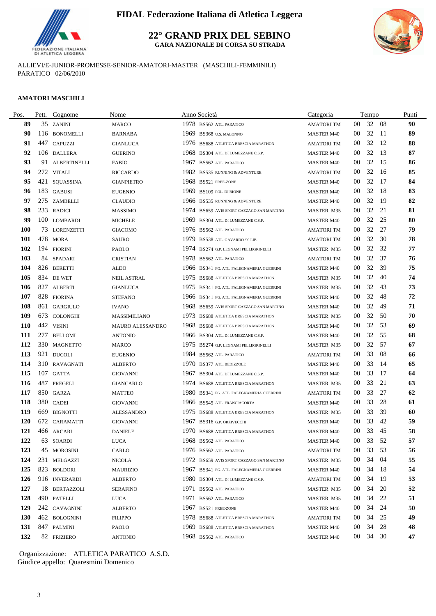

**22° GRAND PRIX DEL SEBINO GARA NAZIONALE DI CORSA SU STRADA**



ALLIEVI/E-JUNIOR-PROMESSE-SENIOR-AMATORI-MASTER (MASCHILI-FEMMINILI) PARATICO 02/06/2010

#### **AMATORI MASCHILI**

| Pos.       |     | Pett. Cognome   | Nome                |      | Anno Società                              | Categoria         |                 | Tempo |      | Punti |
|------------|-----|-----------------|---------------------|------|-------------------------------------------|-------------------|-----------------|-------|------|-------|
| 89         |     | 35 ZANINI       | <b>MARCO</b>        |      | 1978 BS562 ATL. PARATICO                  | <b>AMATORITM</b>  | 00              | 32    | -08  | 90    |
| 90         |     | 116 BONOMELLI   | <b>BARNABA</b>      |      | 1969 BS368 U.S. MALONNO                   | <b>MASTER M40</b> | 00              | 32    | - 11 | 89    |
| 91         |     | 447 CAPUZZI     | <b>GIANLUCA</b>     |      | 1976 BS688 ATLETICA BRESCIA MARATHON      | <b>AMATORI TM</b> | $00\,$          | 32    | 12   | 88    |
| 92         |     | 106 DALLERA     | <b>GUERINO</b>      |      | 1968 BS304 ATL. DI LUMEZZANE C.S.P.       | <b>MASTER M40</b> | 00              | 32    | 13   | 87    |
| 93         |     | 91 ALBERTINELLI | <b>FABIO</b>        | 1967 | BS562 ATL. PARATICO                       | <b>MASTER M40</b> | 00              | 32    | 15   | 86    |
| 94         |     | 272 VITALI      | <b>RICCARDO</b>     |      | 1982 BS535 RUNNING & ADVENTURE            | <b>AMATORI TM</b> | 00              | 32    | 16   | 85    |
| 95         |     | 421 SQUASSINA   | <b>GIANPIETRO</b>   |      | 1968 BS521 FREE-ZONE                      | <b>MASTER M40</b> | 00              | 32    | 17   | 84    |
| 96         |     | 183 GABUSI      | <b>EUGENIO</b>      |      | 1969 BS109 POL. DI BIONE                  | <b>MASTER M40</b> | $00\,$          | 32    | 18   | 83    |
| 97         |     | 275 ZAMBELLI    | <b>CLAUDIO</b>      |      | 1966 BS535 RUNNING & ADVENTURE            | <b>MASTER M40</b> | 00              | 32    | 19   | 82    |
| 98         |     | 233 RADICI      | <b>MASSIMO</b>      |      | 1974 BS659 AVIS SPORT CAZZAGO SAN MARTINO | <b>MASTER M35</b> | $00\,$          | 32    | 21   | 81    |
| 99         |     | 100 LOMBARDI    | <b>MICHELE</b>      | 1969 | BS304 ATL. DI LUMEZZANE C.S.P.            | <b>MASTER M40</b> | 00              | 32    | 25   | 80    |
| <b>100</b> |     | 73 LORENZETTI   | <b>GIACOMO</b>      |      | 1976 BS562 ATL. PARATICO                  | <b>AMATORI TM</b> | 00              | 32    | 27   | 79    |
| <b>101</b> |     | 478 MORA        | <b>SAURO</b>        | 1979 | BS538 ATL. GAVARDO '90 LIB.               | <b>AMATORI TM</b> | $00\,$          | 32    | 30   | 78    |
| 102        |     | 194 FIORINI     | PAOLO               |      | 1974 BS274 G.P. LEGNAMI PELLEGRINELLI     | <b>MASTER M35</b> | $00\,$          | 32    | 32   | 77    |
| 103        |     | 84 SPADARI      | <b>CRISTIAN</b>     |      | 1978 BS562 ATL. PARATICO                  | <b>AMATORI TM</b> | 00              | 32    | 37   | 76    |
| 104        |     | 826 BERETTI     | <b>ALDO</b>         |      | 1966 BS341 FG. ATL. FALEGNAMERIA GUERRINI | <b>MASTER M40</b> | $00\,$          | 32    | 39   | 75    |
| <b>105</b> |     | 834 DE WET      | <b>NEIL ASTRAL</b>  | 1975 | BS688 ATLETICA BRESCIA MARATHON           | MASTER M35        | $00\,$          | 32    | 40   | 74    |
| 106        |     | 827 ALBERTI     | <b>GIANLUCA</b>     |      | 1975 BS341 FG. ATL. FALEGNAMERIA GUERRINI | <b>MASTER M35</b> | $00\,$          | 32    | 43   | 73    |
| 107        |     | 828 FIORINA     | <b>STEFANO</b>      |      | 1966 BS341 FG. ATL. FALEGNAMERIA GUERRINI | <b>MASTER M40</b> | 00              | 32    | 48   | 72    |
| 108        |     | 861 GARGIULO    | <b>IVANO</b>        |      | 1968 BS659 AVIS SPORT CAZZAGO SAN MARTINO | <b>MASTER M40</b> | $00\,$          | 32    | 49   | 71    |
| 109        |     | 673 COLONGHI    | <b>MASSIMILIANO</b> |      | 1973 BS688 ATLETICA BRESCIA MARATHON      | MASTER M35        | $00\,$          | 32    | 50   | 70    |
| <b>110</b> |     | 442 VISINI      | MAURO ALESSANDRO    | 1968 | BS688 ATLETICA BRESCIA MARATHON           | <b>MASTER M40</b> | 00              | 32    | 53   | 69    |
| 111        | 277 | <b>BELLOMI</b>  | <b>ANTONIO</b>      |      | 1966 BS304 ATL. DI LUMEZZANE C.S.P.       | <b>MASTER M40</b> | 00              | 32    | 55   | 68    |
| 112        |     | 330 MAGNETTO    | <b>MARCO</b>        |      | 1975 BS274 G.P. LEGNAMI PELLEGRINELLI     | <b>MASTER M35</b> | 00              | 32    | 57   | 67    |
| 113        |     | 921 DUCOLI      | <b>EUGENIO</b>      |      | 1984 BS562 ATL. PARATICO                  | <b>AMATORI TM</b> | $00\,$          | 33    | 08   | 66    |
| 114        |     | 310 RAVAGNATI   | <b>ALBERTO</b>      |      | 1970 BS377 ATL. BEDIZZOLE                 | <b>MASTER M40</b> | $00\,$          | 33    | 14   | 65    |
| 115        |     | 107 GATTA       | <b>GIOVANNI</b>     | 1967 | BS304 ATL. DI LUMEZZANE C.S.P.            | <b>MASTER M40</b> | 00              | 33    | 17   | 64    |
| 116        |     | 487 PREGELI     | <b>GIANCARLO</b>    |      | 1974 BS688 ATLETICA BRESCIA MARATHON      | <b>MASTER M35</b> | 00              | 33    | 21   | 63    |
| 117        |     | 850 GARZA       | <b>MATTEO</b>       |      | 1980 BS341 FG. ATL. FALEGNAMERIA GUERRINI | <b>AMATORI TM</b> | $00\,$          | 33    | 27   | 62    |
| 118        |     | 380 CADEI       | <b>GIOVANNI</b>     |      | 1966 BS545 ATL. FRANCIACORTA              | <b>MASTER M40</b> | 00              | 33    | 28   | 61    |
| 119        |     | 669 BIGNOTTI    | <b>ALESSANDRO</b>   |      | 1975 BS688 ATLETICA BRESCIA MARATHON      | <b>MASTER M35</b> | $00\,$          | 33    | 39   | 60    |
| <b>120</b> |     | 672 CARAMATTI   | <b>GIOVANNI</b>     |      | 1967 BS316 G.P. ORZIVECCHI                | <b>MASTER M40</b> | $00\,$          | 33    | 42   | 59    |
| 121        |     | 466 ARCARI      | <b>DANIELE</b>      |      | 1970 BS688 ATLETICA BRESCIA MARATHON      | <b>MASTER M40</b> | $00\,$          | 33    | 45   | 58    |
| 122        |     | 63 SOARDI       | <b>LUCA</b>         |      | 1968 BS562 ATL. PARATICO                  | <b>MASTER M40</b> | $00\,$          | 33 52 |      | 57    |
| 123        |     | 45 MOROSINI     | CARLO               |      | 1976 BS562 ATL. PARATICO                  | <b>AMATORI TM</b> | $00\,$          | 33    | 53   | 56    |
| 124        |     | 231 MELGAZZI    | NICOLA              |      | 1972 BS659 AVIS SPORT CAZZAGO SAN MARTINO | MASTER M35        | 00              | 34    | -04  | 55    |
| 125        |     | 823 BOLDORI     | <b>MAURIZIO</b>     |      | 1967 BS341 FG. ATL. FALEGNAMERIA GUERRINI | <b>MASTER M40</b> | 00 <sup>°</sup> | 34    | - 18 | 54    |
| 126        |     | 916 INVERARDI   | <b>ALBERTO</b>      |      | 1980 BS304 ATL. DI LUMEZZANE C.S.P.       | <b>AMATORITM</b>  | 00              | 34    | 19   | 53    |
| 127        |     | 18 BERTAZZOLI   | <b>SERAFINO</b>     |      | 1971 BS562 ATL PARATICO                   | MASTER M35        | 00              | 34    | 20   | 52    |
| 128        |     | 490 PATELLI     | LUCA                |      | 1971 BS562 ATL PARATICO                   | <b>MASTER M35</b> | $00\,$          | 34    | 22   | 51    |
| 129        |     | 242 CAVAGNINI   | <b>ALBERTO</b>      | 1967 | <b>BS521 FREE-ZONE</b>                    | <b>MASTER M40</b> | $00\,$          | 34    | 24   | 50    |
| <b>130</b> |     | 462 BOLOGNINI   | <b>FILIPPO</b>      |      | 1978 BS688 ATLETICA BRESCIA MARATHON      | <b>AMATORI TM</b> | $00\,$          | 34    | 25   | 49    |
| 131        |     | 847 PALMINI     | PAOLO               |      | 1969 BS688 ATLETICA BRESCIA MARATHON      | <b>MASTER M40</b> | 00 <sup>°</sup> | 34    | 28   | 48    |
| 132        |     | 82 FRIZIERO     | <b>ANTONIO</b>      |      | 1968 BS562 ATL. PARATICO                  | <b>MASTER M40</b> | 00 <sup>1</sup> | 34 30 |      | 47    |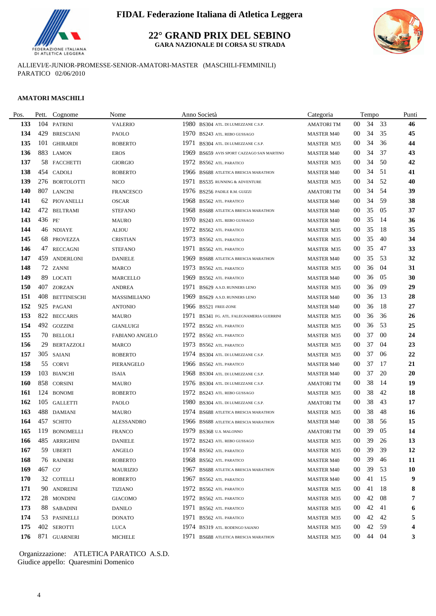

**22° GRAND PRIX DEL SEBINO GARA NAZIONALE DI CORSA SU STRADA**



ALLIEVI/E-JUNIOR-PROMESSE-SENIOR-AMATORI-MASTER (MASCHILI-FEMMINILI) PARATICO 02/06/2010

#### **AMATORI MASCHILI**

| Pos.       | Pett.  | Cognome            | Nome                  |      | Anno Società                              | Categoria         |                 | Tempo    |     | Punti     |
|------------|--------|--------------------|-----------------------|------|-------------------------------------------|-------------------|-----------------|----------|-----|-----------|
| 133        |        | 104 PATRINI        | <b>VALERIO</b>        |      | 1980 BS304 ATL. DI LUMEZZANE C.S.P.       | <b>AMATORITM</b>  | $00\,$          | 34       | 33  | 46        |
| 134        |        | 429 BRESCIANI      | <b>PAOLO</b>          |      | 1970 BS243 ATL. REBO GUSSAGO              | <b>MASTER M40</b> | $00\,$          | 34       | 35  | 45        |
| 135        | 101    | <b>GHIRARDI</b>    | <b>ROBERTO</b>        | 1971 | BS304 ATL. DI LUMEZZANE C.S.P.            | MASTER M35        | 00              | 34       | 36  | 44        |
| 136        |        | 883 LAMON          | <b>EROS</b>           |      | 1969 BS659 AVIS SPORT CAZZAGO SAN MARTINO | <b>MASTER M40</b> | $00\,$          | 34       | 37  | 43        |
| 137        |        | 58 FACCHETTI       | <b>GIORGIO</b>        |      | 1972 BS562 ATL. PARATICO                  | MASTER M35        | $00\,$          | 34       | 50  | 42        |
| 138        |        | 454 CADOLI         | <b>ROBERTO</b>        |      | 1966 BS688 ATLETICA BRESCIA MARATHON      | <b>MASTER M40</b> | 00              | 34       | -51 | 41        |
| 139        |        | 276 BORTOLOTTI     | NICO                  |      | 1971 BS535 RUNNING & ADVENTURE            | <b>MASTER M35</b> | 00              | 34       | 52  | 40        |
| 140        |        | 807 LANCINI        | <b>FRANCESCO</b>      |      | 1976 BS256 PADILE R.M. GUIZZI             | <b>AMATORI TM</b> | $00\,$          | 34       | 54  | 39        |
| 141        |        | 62 PIOVANELLI      | <b>OSCAR</b>          |      | 1968 BS562 ATL. PARATICO                  | <b>MASTER M40</b> | $00\,$          | 34       | 59  | 38        |
| 142        |        | 472 BELTRAMI       | <b>STEFANO</b>        |      | 1968 BS688 ATLETICA BRESCIA MARATHON      | <b>MASTER M40</b> | 00              | 35       | -05 | 37        |
| 143        | 436 PE |                    | <b>MAURO</b>          | 1970 | BS243 ATL. REBO GUSSAGO                   | <b>MASTER M40</b> | 00              | 35       | -14 | 36        |
| 144        |        | 46 NDIAYE          | ALIOU                 |      | 1972 BS562 ATL. PARATICO                  | <b>MASTER M35</b> | 00              | 35       | -18 | 35        |
| 145        |        | 68 PROVEZZA        | <b>CRISTIAN</b>       |      | 1973 BS562 ATL. PARATICO                  | MASTER M35        | $00\,$          | 35       | 40  | 34        |
| 146        |        | 47 RECCAGNI        | <b>STEFANO</b>        |      | 1971 BS562 ATL. PARATICO                  | MASTER M35        | $00\,$          | 35       | 47  | 33        |
| 147        |        | 459 ANDERLONI      | <b>DANIELE</b>        |      | 1969 BS688 ATLETICA BRESCIA MARATHON      | <b>MASTER M40</b> | $00\,$          | 35       | 53  | 32        |
| 148        |        | 72 ZANNI           | <b>MARCO</b>          |      | 1973 BS562 ATL. PARATICO                  | MASTER M35        | $00\,$          | 36       | 04  | 31        |
| 149        |        | 89 LOCATI          | <b>MARCELLO</b>       | 1969 | <b>BS562 ATL PARATICO</b>                 | <b>MASTER M40</b> | 00              | 36       | 05  | 30        |
| <b>150</b> |        | 407 ZORZAN         | <b>ANDREA</b>         |      | 1971 BS629 A.S.D. RUNNERS LENO            | <b>MASTER M35</b> | $00\,$          | 36       | -09 | 29        |
| 151        | 408    | <b>BETTINESCHI</b> | MASSIMILIANO          | 1969 | BS629 A.S.D. RUNNERS LENO                 | <b>MASTER M40</b> | $00\,$          | 36       | 13  | 28        |
| 152        |        | 925 PAGANI         | <b>ANTONIO</b>        |      | 1966 BS521 FREE-ZONE                      | <b>MASTER M40</b> | $00\,$          | 36       | -18 | 27        |
| 153        |        | 822 BECCARIS       | <b>MAURO</b>          |      | 1971 BS341 FG. ATL. FALEGNAMERIA GUERRINI | MASTER M35        | 00              | 36       | 36  | 26        |
| 154        |        | 492 GOZZINI        | <b>GIANLUIGI</b>      | 1972 | BS562 ATL. PARATICO                       | MASTER M35        | 00              | 36       | 53  | 25        |
| 155        |        | 70 BELLOLI         | <b>FABIANO ANGELO</b> |      | 1972 BS562 ATL. PARATICO                  | <b>MASTER M35</b> | 00              | 37       | -00 | 24        |
| 156        | 29     | <b>BERTAZZOLI</b>  | <b>MARCO</b>          |      | 1973 BS562 ATL. PARATICO                  | MASTER M35        | 00              | 37       | -04 | 23        |
| 157        |        | 305 SAIANI         | <b>ROBERTO</b>        |      | 1974 BS304 ATL. DI LUMEZZANE C.S.P.       | <b>MASTER M35</b> | $00\,$          | 37       | 06  | 22        |
| 158        |        | 55 CORVI           | PIERANGELO            |      | 1966 BS562 ATL. PARATICO                  | <b>MASTER M40</b> | $00\,$          | 37       | 17  | 21        |
| 159        |        | 103 BIANCHI        | <b>ISAIA</b>          |      | 1968 BS304 ATL. DI LUMEZZANE C.S.P.       | <b>MASTER M40</b> | $00\,$          | 37       | 20  | 20        |
| <b>160</b> |        | 858 CORSINI        | <b>MAURO</b>          |      | 1976 BS304 ATL. DI LUMEZZANE C.S.P.       | <b>AMATORI TM</b> | $00\,$          | 38       | -14 | 19        |
| 161        |        | 124 BONOMI         | <b>ROBERTO</b>        |      | 1972 BS243 ATL. REBO GUSSAGO              | <b>MASTER M35</b> | 00              | 38       | 42  | 18        |
| 162        |        | 105 GALLETTI       | PAOLO                 |      | 1980 BS304 ATL. DI LUMEZZANE C.S.P.       | AMATORI TM        | 00              | 38       | 43  | 17        |
| 163        |        | 488 DAMIANI        | <b>MAURO</b>          |      | 1974 BS688 ATLETICA BRESCIA MARATHON      | MASTER M35        | $00\,$          | 38       | 48  | 16        |
| 164        |        | 457 SCHITO         | <b>ALESSANDRO</b>     |      | 1966 BS688 ATLETICA BRESCIA MARATHON      | <b>MASTER M40</b> | $00\,$          | 38       | 56  | 15        |
| 165        |        | 119 BONOMELLI      | <b>FRANCO</b>         |      | 1979 BS368 U.S. MALONNO                   | <b>AMATORITM</b>  | $00\,$          | 39       | 05  | 14        |
| 166        |        | 485 ARRIGHINI      | <b>DANIELE</b>        |      | 1972 BS243 ATL. REBO GUSSAGO              | MASTER M35        | 00 <sub>o</sub> | 39 26    |     | 13        |
| 167        |        | 59 UBERTI          | ANGELO                |      | 1974 BS562 ATL. PARATICO                  | MASTER M35        | 00              | 39       | 39  | 12        |
| 168        |        | 76 RAINERI         | <b>ROBERTO</b>        |      | 1968 BS562 ATL. PARATICO                  | <b>MASTER M40</b> | $00\,$          | 39       | 46  | 11        |
| 169        | 467 CO |                    | <b>MAURIZIO</b>       |      | 1967 BS688 ATLETICA BRESCIA MARATHON      | <b>MASTER M40</b> | 00              | 39       | 53  | <b>10</b> |
| 170        |        | 32 COTELLI         | <b>ROBERTO</b>        | 1967 | BS562 ATL. PARATICO                       | <b>MASTER M40</b> | 00              | 41       | 15  | 9         |
| 171        |        | 90 ANDREINI        | <b>TIZIANO</b>        |      | 1972 BS562 ATL. PARATICO                  | MASTER M35        | $00\,$          | 41       | -18 | 8         |
| 172        |        | 28 MONDINI         | <b>GIACOMO</b>        |      | 1972 BS562 ATL. PARATICO                  | MASTER M35        | $00\,$          | 42       | 08  | 7         |
| 173        |        | 88 SABADINI        | DANILO                |      | 1971 BS562 ATL. PARATICO                  | MASTER M35        | $00\,$          | 42       | 41  | 6         |
| 174        |        | 53 PASINELLI       | <b>DONATO</b>         |      | 1971 BS562 ATL. PARATICO                  | MASTER M35        | 00              | 42       | 42  | 5         |
| 175        |        | 402 SEROTTI        | <b>LUCA</b>           |      | 1974 BS319 ATL. RODENGO SAIANO            | MASTER M35        | 00              | 42       | 59  | 4         |
| 176        |        | 871 GUARNERI       | <b>MICHELE</b>        |      | 1971 BS688 ATLETICA BRESCIA MARATHON      | MASTER M35        |                 | 00 44 04 |     | 3         |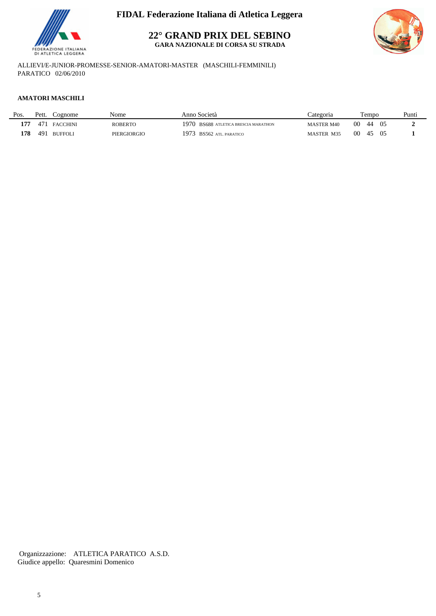

**22° GRAND PRIX DEL SEBINO**

**GARA NAZIONALE DI CORSA SU STRADA**



ALLIEVI/E-JUNIOR-PROMESSE-SENIOR-AMATORI-MASTER (MASCHILI-FEMMINILI) PARATICO 02/06/2010

### **AMATORI MASCHILI**

| Pos. | Pett. | Cognome         | Nome        | Anno Società                             | Categoria         | l'empo                  | Punti |
|------|-------|-----------------|-------------|------------------------------------------|-------------------|-------------------------|-------|
| 177  | 471   | <b>FACCHINI</b> | ROBERTC     | 1970.<br>BS688 ATLETICA BRESCIA MARATHON | <b>MASTER M40</b> | 00<br>0.5<br>44         |       |
| 178  | 491   | <b>BUFFOLI</b>  | PIERGIORGIO | 1973<br><b>BS562 ATL. PARATICO</b>       | <b>MASTER M35</b> | 00<br>05<br>$4^{\circ}$ |       |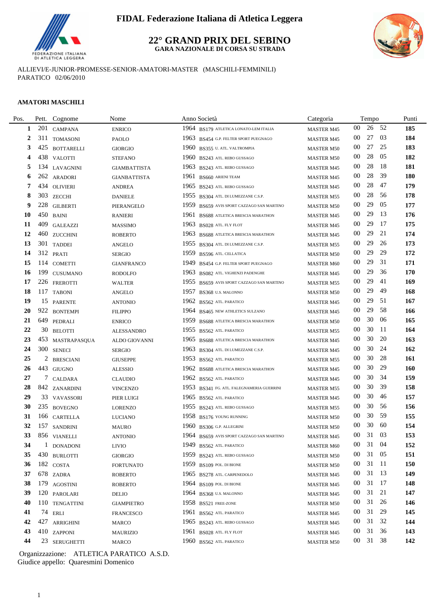

### **22° GRAND PRIX DEL SEBINO GARA NAZIONALE DI CORSA SU STRADA**



ALLIEVI/E-JUNIOR-PROMESSE-SENIOR-AMATORI-MASTER (MASCHILI-FEMMINILI) PARATICO 02/06/2010

### **AMATORI MASCHILI**

| Pos. | Pett. | Cognome           | Nome                | Anno Società                                 | Categoria         |        | Tempo    |      | Punti |
|------|-------|-------------------|---------------------|----------------------------------------------|-------------------|--------|----------|------|-------|
| 1    | 201   | <b>CAMPANA</b>    | <b>ENRICO</b>       | 1964 BS179 ATLETICA LONATO-LEM ITALIA        | <b>MASTER M45</b> | 00     | 26 52    |      | 185   |
| 2    |       | 311 TOMASONI      | PAOLO               | 1963 BS454 G.P. FELTER SPORT PUEGNAGO        | <b>MASTER M45</b> | 00     | 27       | -03  | 184   |
| 3    | 425   | <b>BOTTARELLI</b> | <b>GIORGIO</b>      | 1960 BS355 U. ATL. VALTROMPIA                | <b>MASTER M50</b> | 00     | 27       | 25   | 183   |
| 4    |       | 438 VALOTTI       | <b>STEFANO</b>      | 1960 BS243 ATL. REBO GUSSAGO                 | <b>MASTER M50</b> | $00\,$ | 28       | 05   | 182   |
| 5    | 134   | LAVAGNINI         | <b>GIAMBATTISTA</b> | 1963 BS243 ATL. REBO GUSSAGO                 | <b>MASTER M45</b> | 00     | 28       | -18  | 181   |
| 6    | 262   | ARADORI           | <b>GIANBATTISTA</b> | 1961<br><b>BS660 ARIENI TEAM</b>             | <b>MASTER M45</b> | 00     | 28       | 39   | 180   |
| 7    | 434   | <b>OLIVIERI</b>   | <b>ANDREA</b>       | 1965 BS243 ATL REBO GUSSAGO                  | <b>MASTER M45</b> | 00     | 28       | 47   | 179   |
| 8    |       | 303 ZECCHI        | <b>DANIELE</b>      | 1955 BS304 ATL. DI LUMEZZANE C.S.P.          | <b>MASTER M55</b> | $00\,$ | 28       | -56  | 178   |
| 9    | 228   | <b>GILBERTI</b>   | PIERANGELO          | 1959<br>BS659 AVIS SPORT CAZZAGO SAN MARTINO | <b>MASTER M50</b> | $00\,$ | 29       | 05   | 177   |
| 10   | 450   | <b>BAINI</b>      | <b>RANIERI</b>      | 1961<br>BS688 ATLETICA BRESCIA MARATHON      | <b>MASTER M45</b> | 00     | 29       | 13   | 176   |
| 11   |       | 409 GALEAZZI      | <b>MASSIMO</b>      | 1963 BS028 ATL. FLY FLOT                     | <b>MASTER M45</b> | $00\,$ | 29       | -17  | 175   |
| 12   |       | 460 ZUCCHINI      | <b>ROBERTO</b>      | 1963 BS688 ATLETICA BRESCIA MARATHON         | <b>MASTER M45</b> | 00     | 29       | 21   | 174   |
| 13   |       | 301 TADDEI        | <b>ANGELO</b>       | 1955 BS304 ATL. DI LUMEZZANE C.S.P.          | <b>MASTER M55</b> | 00     | 29       | 26   | 173   |
| 14   |       | 312 PRATI         | <b>SERGIO</b>       | 1959<br>BS596 ATL. CELLATICA                 | <b>MASTER M50</b> | 00     | 29       | 29   | 172   |
| 15   |       | 114 COMETTI       | <b>GIANFRANCO</b>   | 1949<br>BS454 G.P. FELTER SPORT PUEGNAGO     | <b>MASTER M60</b> | $00\,$ | 29       | 31   | 171   |
| 16   | 199   | <b>CUSUMANO</b>   | <b>RODOLFO</b>      | 1963<br>BS082 ATL. VIGHENZI PADENGHE         | <b>MASTER M45</b> | $00\,$ | 29       | 36   | 170   |
| 17   |       | 226 FREROTTI      | <b>WALTER</b>       | 1955<br>BS659 AVIS SPORT CAZZAGO SAN MARTINO | <b>MASTER M55</b> | 00     | 29       | 41   | 169   |
| 18   |       | 117 TABONI        | ANGELO              | 1957<br>BS368 U.S. MALONNO                   | <b>MASTER M50</b> | 00     | 29       | 49   | 168   |
| 19   |       | 15 PARENTE        | <b>ANTONIO</b>      | 1962 BS562 ATL PARATICO                      | <b>MASTER M45</b> | $00\,$ | 29       | 51   | 167   |
| 20   |       | 922 BONTEMPI      | <b>FILIPPO</b>      | 1964 BS465 NEW ATHLETICS SULZANO             | <b>MASTER M45</b> | $00\,$ | 29       | 58   | 166   |
| 21   |       | 649 PEDRALI       | <b>ENRICO</b>       | 1959<br>BS688 ATLETICA BRESCIA MARATHON      | <b>MASTER M50</b> | $00\,$ | 30       | 06   | 165   |
| 22   |       | 30 BELOTTI        | <b>ALESSANDRO</b>   | 1955<br>BS562 ATL. PARATICO                  | <b>MASTER M55</b> | $00\,$ | 30       | -11  | 164   |
| 23   |       | 453 MASTRAPASQUA  | ALDO GIOVANNI       | 1965<br>BS688 ATLETICA BRESCIA MARATHON      | <b>MASTER M45</b> | 00     | 30       | 20   | 163   |
| 24   |       | 300 SENECI        | <b>SERGIO</b>       | 1963<br>BS304 ATL. DI LUMEZZANE C.S.P.       | <b>MASTER M45</b> | 00     | 30       | 24   | 162   |
| 25   | 2     | <b>BRESCIANI</b>  | <b>GIUSEPPE</b>     | 1953 BS562 ATL PARATICO                      | <b>MASTER M55</b> | 00     | 30       | 28   | 161   |
| 26   |       | 443 GIUGNO        | <b>ALESSIO</b>      | 1962 BS688 ATLETICA BRESCIA MARATHON         | <b>MASTER M45</b> | 00     | 30       | 29   | 160   |
| 27   |       | 7 CALDARA         | <b>CLAUDIO</b>      | 1962 BS562 ATL. PARATICO                     | <b>MASTER M45</b> | 00     | 30       | -34  | 159   |
| 28   |       | 842 ZANARDINI     | <b>VINCENZO</b>     | 1953 BS341 FG. ATL. FALEGNAMERIA GUERRINI    | <b>MASTER M55</b> | 00     | 30       | 39   | 158   |
| 29   |       | 33 VAVASSORI      | PIER LUIGI          | 1965 BS562 ATL. PARATICO                     | <b>MASTER M45</b> | 00     | 30       | 46   | 157   |
| 30   |       | 235 BOVEGNO       | <b>LORENZO</b>      | 1955 BS243 ATL. REBO GUSSAGO                 | <b>MASTER M55</b> | $00\,$ | 30       | 56   | 156   |
| 31   |       | 166 CARTELLA      | <b>LUCIANO</b>      | 1958 BS176 YOUNG RUNNING                     | <b>MASTER M50</b> | $00\,$ | 30       | -59  | 155   |
| 32   |       | 157 SANDRINI      | MAURO               | 1960 BS306 G.P. ALLEGRINI                    | <b>MASTER M50</b> | 00     | 30       | 60   | 154   |
| 33   |       | 856 VIANELLI      | <b>ANTONIO</b>      | 1964 BS659 AVIS SPORT CAZZAGO SAN MARTINO    | <b>MASTER M45</b> | $00\,$ | 31       | 03   | 153   |
| 34   |       | 1 DONADONI        | LIVIO               | 1949 BS562 ATL. PARATICO                     | MASTER M60        |        | 00 31 04 |      | 152   |
| 35   |       | 430 BURLOTTI      | <b>GIORGIO</b>      | 1959 BS243 ATL. REBO GUSSAGO                 | <b>MASTER M50</b> | $00\,$ | 31 05    |      | 151   |
| 36   |       | 182 COSTA         | <b>FORTUNATO</b>    | 1959 BS109 POL. DI BIONE                     | <b>MASTER M50</b> | 00     | 31       | - 11 | 150   |
| 37   |       | 678 ZADRA         | <b>ROBERTO</b>      | 1965 BS278 ATL. CARPENEDOLO                  | <b>MASTER M45</b> | 00     | 31 13    |      | 149   |
| 38   |       | 179 AGOSTINI      | <b>ROBERTO</b>      | 1964 BS109 POL. DI BIONE                     | <b>MASTER M45</b> | 00     | 31 17    |      | 148   |
| 39   |       | 120 PAROLARI      | DELIO               | 1964 BS368 U.S. MALONNO                      | <b>MASTER M45</b> | 00     | 31       | 21   | 147   |
| 40   |       | 110 TENGATTINI    | <b>GIAMPIETRO</b>   | 1958 BS521 FREE-ZONE                         | <b>MASTER M50</b> | 00     | 31       | 26   | 146   |
| 41   |       | 74 ERLI           | <b>FRANCESCO</b>    | 1961 BS562 ATL. PARATICO                     | <b>MASTER M45</b> | 00     | 31       | 29   | 145   |
| 42   |       | 427 ARRIGHINI     | MARCO               | 1965 BS243 ATL. REBO GUSSAGO                 | MASTER M45        | 00     | 31       | 32   | 144   |
| 43   |       | 410 ZAPPONI       | <b>MAURIZIO</b>     | 1961 BS028 ATL FLY FLOT                      | <b>MASTER M45</b> | 00     | 31       | 36   | 143   |
| 44   |       | 23 SERUGHETTI     | MARCO               | 1960 BS562 ATL. PARATICO                     | <b>MASTER M50</b> | $00\,$ | 31 38    |      | 142   |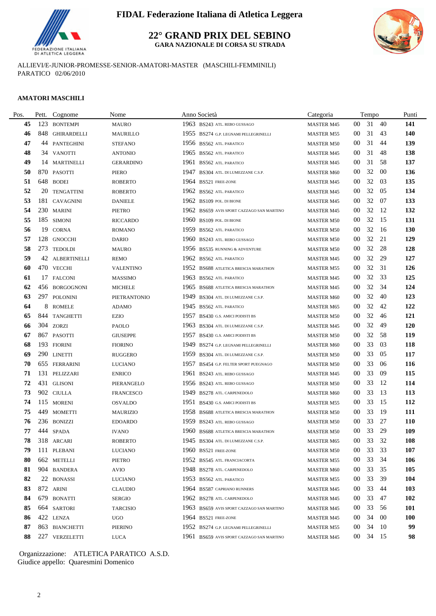

**22° GRAND PRIX DEL SEBINO GARA NAZIONALE DI CORSA SU STRADA**



ALLIEVI/E-JUNIOR-PROMESSE-SENIOR-AMATORI-MASTER (MASCHILI-FEMMINILI) PARATICO 02/06/2010

### **AMATORI MASCHILI**

| Pos. | Pett. | Cognome           | Nome                |      | Anno Società                              | Categoria         |        | Tempo    |    | Punti      |
|------|-------|-------------------|---------------------|------|-------------------------------------------|-------------------|--------|----------|----|------------|
| 45   | 123   | <b>BONTEMPI</b>   | <b>MAURO</b>        |      | 1963 BS243 ATL. REBO GUSSAGO              | <b>MASTER M45</b> | 00     | 31       | 40 | 141        |
| 46   |       | 848 GHIRARDELLI   | MAURILLO            |      | 1955 BS274 G.P. LEGNAMI PELLEGRINELLI     | <b>MASTER M55</b> | $00\,$ | 31       | 43 | 140        |
| 47   |       | 44 PANTEGHINI     | <b>STEFANO</b>      |      | 1956 BS562 ATL. PARATICO                  | <b>MASTER M50</b> | 00     | 31       | 44 | 139        |
| 48   |       | 34 VANOTTI        | <b>ANTONIO</b>      |      | 1965 BS562 ATL. PARATICO                  | <b>MASTER M45</b> | 00     | 31       | 48 | 138        |
| 49   |       | 14 MARTINELLI     | <b>GERARDINO</b>    | 1961 | BS562 ATL. PARATICO                       | <b>MASTER M45</b> | 00     | 31       | 58 | 137        |
| 50   |       | 870 PASOTTI       | PIERO               | 1947 | BS304 ATL. DI LUMEZZANE C.S.P.            | <b>MASTER M60</b> | 00     | 32       | 00 | 136        |
| 51   |       | 648 BODEI         | <b>ROBERTO</b>      |      | 1964 BS521 FREE-ZONE                      | <b>MASTER M45</b> | 00     | 32       | 03 | 135        |
| 52   | 20    | <b>TENGATTINI</b> | <b>ROBERTO</b>      |      | 1962 BS562 ATL. PARATICO                  | <b>MASTER M45</b> | $00\,$ | 32       | 05 | 134        |
| 53   |       | 181 CAVAGNINI     | <b>DANIELE</b>      |      | 1962 BS109 POL. DI BIONE                  | <b>MASTER M45</b> | 00     | 32       | 07 | 133        |
| 54   |       | 230 MARINI        | PIETRO              |      | 1962 BS659 AVIS SPORT CAZZAGO SAN MARTINO | <b>MASTER M45</b> | $00\,$ | 32       | 12 | 132        |
| 55   |       | 185 SIMONI        | <b>RICCARDO</b>     | 1960 | BS109 POL. DI BIONE                       | <b>MASTER M50</b> | 00     | 32       | 15 | 131        |
| 56   | 19    | <b>CORNA</b>      | <b>ROMANO</b>       |      | 1959 BS562 ATL. PARATICO                  | <b>MASTER M50</b> | 00     | 32       | 16 | 130        |
| 57   |       | 128 GNOCCHI       | <b>DARIO</b>        | 1960 | BS243 ATL. REBO GUSSAGO                   | <b>MASTER M50</b> | 00     | 32       | 21 | 129        |
| 58   |       | 273 TEDOLDI       | <b>MAURO</b>        |      | 1956 BS535 RUNNING & ADVENTURE            | <b>MASTER M50</b> | 00     | 32       | 28 | 128        |
| 59   |       | 42 ALBERTINELLI   | <b>REMO</b>         |      | 1962 BS562 ATL. PARATICO                  | <b>MASTER M45</b> | 00     | 32       | 29 | 127        |
| 60   |       | 470 VECCHI        | <b>VALENTINO</b>    |      | 1952 BS688 ATLETICA BRESCIA MARATHON      | <b>MASTER M55</b> | $00\,$ | 32       | 31 | 126        |
| 61   |       | 17 FALCONI        | <b>MASSIMO</b>      | 1963 | <b>BS562 ATL PARATICO</b>                 | <b>MASTER M45</b> | 00     | 32       | 33 | 125        |
| 62   |       | 456 BORGOGNONI    | <b>MICHELE</b>      | 1965 | BS688 ATLETICA BRESCIA MARATHON           | <b>MASTER M45</b> | 00     | 32       | 34 | 124        |
| 63   | 297   | <b>POLONINI</b>   | <b>PIETRANTONIO</b> | 1949 | BS304 ATL. DI LUMEZZANE C.S.P.            | <b>MASTER M60</b> | 00     | 32       | 40 | 123        |
| 64   | 8     | <b>ROMELE</b>     | ADAMO               |      | 1945 BS562 ATL. PARATICO                  | <b>MASTER M65</b> | $00\,$ | 32       | 42 | 122        |
| 65   |       | 844 TANGHETTI     | EZIO                |      | 1957 BS430 G.S. AMICI PODISTI BS          | <b>MASTER M50</b> | $00\,$ | 32       | 46 | 121        |
| 66   |       | 304 ZORZI         | PAOLO               | 1963 | BS304 ATL. DI LUMEZZANE C.S.P.            | <b>MASTER M45</b> | 00     | 32       | 49 | 120        |
| 67   |       | 867 PASOTTI       | <b>GIUSEPPE</b>     | 1957 | BS430 G.S. AMICI PODISTI BS               | <b>MASTER M50</b> | $00\,$ | 32       | 58 | 119        |
| 68   |       | 193 FIORINI       | <b>FIORINO</b>      | 1949 | BS274 G.P. LEGNAMI PELLEGRINELLI          | <b>MASTER M60</b> | 00     | 33       | 03 | 118        |
| 69   |       | 290 LINETTI       | <b>RUGGERO</b>      |      | 1959 BS304 ATL. DI LUMEZZANE C.S.P.       | <b>MASTER M50</b> | 00     | 33       | 05 | 117        |
| 70   |       | 655 FERRARINI     | <b>LUCIANO</b>      |      | 1957 BS454 G.P. FELTER SPORT PUEGNAGO     | <b>MASTER M50</b> | $00\,$ | 33       | 06 | 116        |
| 71   |       | 131 PELIZZARI     | <b>ENRICO</b>       | 1961 | BS243 ATL. REBO GUSSAGO                   | <b>MASTER M45</b> | 00     | 33       | 09 | 115        |
| 72   |       | 431 GLISONI       | PIERANGELO          |      | 1956 BS243 ATL. REBO GUSSAGO              | <b>MASTER M50</b> | $00\,$ | 33       | 12 | 114        |
| 73   |       | 902 CIULLA        | <b>FRANCESCO</b>    |      | 1949 BS278 ATL. CARPENEDOLO               | <b>MASTER M60</b> | 00     | 33       | 13 | 113        |
| 74   |       | 115 MORENI        | <b>OSVALDO</b>      | 1951 | <b>BS430 G.S. AMICI PODISTI BS</b>        | <b>MASTER M55</b> | $00\,$ | 33       | 15 | 112        |
| 75   |       | 449 MOMETTI       | <b>MAURIZIO</b>     |      | 1958 BS688 ATLETICA BRESCIA MARATHON      | <b>MASTER M50</b> | 00     | 33       | 19 | 111        |
| 76   |       | 236 BONIZZI       | <b>EDOARDO</b>      |      | 1959 BS243 ATL. REBO GUSSAGO              | <b>MASTER M50</b> | $00\,$ | 33       | 27 | <b>110</b> |
| 77   |       | 444 SPADA         | <b>IVANO</b>        |      | 1960 BS688 ATLETICA BRESCIA MARATHON      | <b>MASTER M50</b> | $00\,$ | 33       | 29 | 109        |
| 78   |       | 318 ARCARI        | <b>ROBERTO</b>      |      | 1945 BS304 ATL. DI LUMEZZANE C.S.P.       | <b>MASTER M65</b> | $00\,$ | 33 32    |    | 108        |
| 79   |       | 111 PLEBANI       | <b>LUCIANO</b>      |      | 1960 BS521 FREE-ZONE                      | <b>MASTER M50</b> | $00\,$ | 33       | 33 | 107        |
| 80   |       | 662 METELLI       | PIETRO              |      | 1952 BS545 ATL. FRANCIACORTA              | <b>MASTER M55</b> | 00     | 33       | 34 | 106        |
| 81   |       | 904 BANDERA       | AVIO                |      | 1948 BS278 ATL. CARPENEDOLO               | <b>MASTER M60</b> | 00     | 33       | 35 | 105        |
| 82   |       | 22 BONASSI        | <b>LUCIANO</b>      |      | 1953 BS562 ATL. PARATICO                  | <b>MASTER M55</b> | 00     | 33       | 39 | 104        |
| 83   |       | 872 ARINI         | <b>CLAUDIO</b>      |      | 1964 BS587 CAPRIANO RUNNERS               | <b>MASTER M45</b> | 00     | 33       | 44 | 103        |
| 84   |       | 679 BONATTI       | <b>SERGIO</b>       |      | 1962 BS278 ATL. CARPENEDOLO               | <b>MASTER M45</b> | $00\,$ | 33       | 47 | 102        |
| 85   |       | 664 SARTORI       | <b>TARCISIO</b>     |      | 1963 BS659 AVIS SPORT CAZZAGO SAN MARTINO | <b>MASTER M45</b> | $00\,$ | 33       | 56 | <b>101</b> |
| 86   |       | 422 LENZA         | <b>UGO</b>          |      | 1964 BS521 FREE-ZONE                      | <b>MASTER M45</b> | $00\,$ | 34       | 00 | <b>100</b> |
| 87   |       | 863 BIANCHETTI    | <b>PIERINO</b>      |      | 1952 BS274 G.P. LEGNAMI PELLEGRINELLI     | <b>MASTER M55</b> | $00\,$ | 34       | 10 | 99         |
| 88   |       | 227 VERZELETTI    | <b>LUCA</b>         |      | 1961 BS659 AVIS SPORT CAZZAGO SAN MARTINO | <b>MASTER M45</b> |        | 00 34 15 |    | 98         |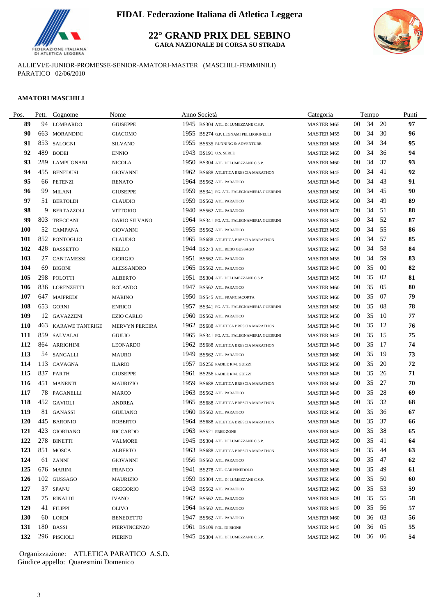

**22° GRAND PRIX DEL SEBINO GARA NAZIONALE DI CORSA SU STRADA**

ALLIEVI/E-JUNIOR-PROMESSE-SENIOR-AMATORI-MASTER (MASCHILI-FEMMINILI) PARATICO 02/06/2010

### **AMATORI MASCHILI**

| Pos.       |     | Pett. Cognome       | Nome              |      | Anno Società                              | Categoria         |                 | Tempo    |     | Punti |
|------------|-----|---------------------|-------------------|------|-------------------------------------------|-------------------|-----------------|----------|-----|-------|
| 89         |     | 94 LOMBARDO         | <b>GIUSEPPE</b>   |      | 1945 BS304 ATL. DI LUMEZZANE C.S.P.       | <b>MASTER M65</b> | $00\,$          | 34       | 20  | 97    |
| 90         |     | 663 MORANDINI       | <b>GIACOMO</b>    |      | 1955 BS274 G.P. LEGNAMI PELLEGRINELLI     | <b>MASTER M55</b> | $00\,$          | 34       | 30  | 96    |
| 91         |     | 853 SALOGNI         | <b>SILVANO</b>    |      | 1955 BS535 RUNNING & ADVENTURE            | <b>MASTER M55</b> | 00              | 34       | 34  | 95    |
| 92         | 489 | <b>BODEI</b>        | <b>ENNIO</b>      |      | 1943 BS191 U.S. SERLE                     | <b>MASTER M65</b> | $00\,$          | 34       | 36  | 94    |
| 93         | 289 | <b>LAMPUGNANI</b>   | <b>NICOLA</b>     |      | 1950 BS304 ATL. DI LUMEZZANE C.S.P.       | <b>MASTER M60</b> | $00\,$          | 34       | 37  | 93    |
| 94         |     | 455 BENEDUSI        | <b>GIOVANNI</b>   |      | 1962 BS688 ATLETICA BRESCIA MARATHON      | <b>MASTER M45</b> | 00              | 34       | 41  | 92    |
| 95         |     | 66 PETENZI          | <b>RENATO</b>     |      | 1964 BS562 ATL. PARATICO                  | <b>MASTER M45</b> | 00              | 34       | 43  | 91    |
| 96         |     | 99 MILANI           | <b>GIUSEPPE</b>   |      | 1959 BS341 FG. ATL. FALEGNAMERIA GUERRINI | <b>MASTER M50</b> | $00\,$          | 34       | 45  | 90    |
| 97         |     | 51 BERTOLDI         | <b>CLAUDIO</b>    |      | 1959 BS562 ATL. PARATICO                  | <b>MASTER M50</b> | $00\,$          | 34       | 49  | 89    |
| 98         | 9   | <b>BERTAZZOLI</b>   | <b>VITTORIO</b>   |      | 1940 BS562 ATL. PARATICO                  | <b>MASTER M70</b> | 00              | 34       | -51 | 88    |
| 99         |     | 803 TRECCANI        | DARIO SILVANO     |      | 1964 BS341 FG. ATL. FALEGNAMERIA GUERRINI | <b>MASTER M45</b> | 00              | 34       | 52  | 87    |
| <b>100</b> |     | 52 CAMPANA          | GIOVANNI          |      | 1955 BS562 ATL. PARATICO                  | <b>MASTER M55</b> | 00              | 34       | 55  | 86    |
| 101        |     | 852 PONTOGLIO       | <b>CLAUDIO</b>    |      | 1965 BS688 ATLETICA BRESCIA MARATHON      | <b>MASTER M45</b> | $00\,$          | 34       | 57  | 85    |
| 102        |     | 428 BASSETTO        | NELLO             |      | 1944 BS243 ATL. REBO GUSSAGO              | <b>MASTER M65</b> | $00\,$          | 34       | 58  | 84    |
| 103        |     | 27 CANTAMESSI       | <b>GIORGIO</b>    |      | 1951 BS562 ATL. PARATICO                  | <b>MASTER M55</b> | 00              | 34       | 59  | 83    |
| 104        | 69  | <b>BIGONI</b>       | <b>ALESSANDRO</b> |      | 1965 BS562 ATL. PARATICO                  | <b>MASTER M45</b> | $00\,$          | 35       | -00 | 82    |
| 105        |     | 298 POLOTTI         | <b>ALBERTO</b>    | 1951 | BS304 ATL. DI LUMEZZANE C.S.P.            | <b>MASTER M55</b> | 00              | 35       | 02  | 81    |
| 106        |     | 836 LORENZETTI      | <b>ROLANDO</b>    | 1947 | <b>BS562 ATL PARATICO</b>                 | <b>MASTER M60</b> | 00              | 35       | 05  | 80    |
| 107        | 647 | <b>MAIFREDI</b>     | <b>MARINO</b>     | 1950 | BS545 ATL. FRANCIACORTA                   | <b>MASTER M60</b> | 00              | 35       | 07  | 79    |
| 108        |     | 653 GORNI           | <b>ENRICO</b>     | 1957 | BS341 FG. ATL. FALEGNAMERIA GUERRINI      | <b>MASTER M50</b> | 00              | 35       | 08  | 78    |
| 109        |     | 12 GAVAZZENI        | <b>EZIO CARLO</b> | 1960 | <b>BS562 ATL. PARATICO</b>                | <b>MASTER M50</b> | 00              | 35       | -10 | 77    |
| <b>110</b> |     | 463 KARAWE TANTRIGE | MERVYN PEREIRA    | 1962 | BS688 ATLETICA BRESCIA MARATHON           | <b>MASTER M45</b> | 00              | 35       | 12  | 76    |
| 111        |     | 859 SALVALAI        | <b>GIULIO</b>     |      | 1965 BS341 FG. ATL. FALEGNAMERIA GUERRINI | <b>MASTER M45</b> | 00              | 35       | -15 | 75    |
| 112        |     | 864 ARRIGHINI       | <b>LEONARDO</b>   |      | 1962 BS688 ATLETICA BRESCIA MARATHON      | <b>MASTER M45</b> | 00              | 35       | 17  | 74    |
| 113        |     | 54 SANGALLI         | <b>MAURO</b>      |      | 1949 BS562 ATL. PARATICO                  | <b>MASTER M60</b> | 00              | 35       | -19 | 73    |
| 114        |     | 113 CAVAGNA         | <b>ILARIO</b>     |      | 1957 BS256 PADILE R.M. GUIZZI             | <b>MASTER M50</b> | $00\,$          | 35       | 20  | 72    |
| 115        |     | 837 PARTH           | <b>GIUSEPPE</b>   | 1961 | BS256 PADILE R.M. GUIZZI                  | <b>MASTER M45</b> | $00\,$          | 35       | 26  | 71    |
| 116        |     | 451 MANENTI         | <b>MAURIZIO</b>   | 1959 | BS688 ATLETICA BRESCIA MARATHON           | <b>MASTER M50</b> | 00              | 35       | 27  | 70    |
| 117        |     | 78 PAGANELLI        | MARCO             |      | 1963 BS562 ATL. PARATICO                  | <b>MASTER M45</b> | 00              | 35       | 28  | 69    |
| 118        |     | 452 GAVIOLI         | <b>ANDREA</b>     |      | 1965 BS688 ATLETICA BRESCIA MARATHON      | <b>MASTER M45</b> | 00              | 35       | 32  | 68    |
| 119        |     | 81 GANASSI          | <b>GIULIANO</b>   |      | 1960 BS562 ATL. PARATICO                  | <b>MASTER M50</b> | $00\,$          | 35       | 36  | 67    |
| <b>120</b> |     | 445 BARONIO         | <b>ROBERTO</b>    |      | 1964 BS688 ATLETICA BRESCIA MARATHON      | <b>MASTER M45</b> | 00              | 35       | 37  | 66    |
| 121        |     | 423 GIORDANO        | <b>RICCARDO</b>   |      | 1963 BS521 FREE-ZONE                      | <b>MASTER M45</b> | $00\,$          | 35       | 38  | 65    |
| 122        |     | 278 BINETTI         | <b>VALMORE</b>    |      | 1945 BS304 ATL. DI LUMEZZANE C.S.P.       | <b>MASTER M65</b> |                 | 00 35 41 |     | 64    |
| 123        |     | 851 MOSCA           | ALBERTO           |      | 1963 BS688 ATLETICA BRESCIA MARATHON      | <b>MASTER M45</b> | 00              | 35       | -44 | 63    |
| 124        |     | 61 ZANNI            | <b>GIOVANNI</b>   |      | 1956 BS562 ATL PARATICO                   | <b>MASTER M50</b> | 00              | 35       | 47  | 62    |
| 125        |     | 676 MARINI          | <b>FRANCO</b>     |      | 1941 BS278 ATL. CARPENEDOLO               | <b>MASTER M65</b> | 00              | 35       | 49  | 61    |
| 126        |     | 102 GUSSAGO         | <b>MAURIZIO</b>   |      | 1959 BS304 ATL. DI LUMEZZANE C.S.P.       | <b>MASTER M50</b> | $00\,$          | 35       | 50  | 60    |
| 127        |     | 37 SPANU            | <b>GREGORIO</b>   |      | 1943 BS562 ATL. PARATICO                  | <b>MASTER M65</b> | $00\,$          | 35       | 53  | 59    |
| 128        |     | 75 RINALDI          | <b>IVANO</b>      |      | 1962 BS562 ATL. PARATICO                  | <b>MASTER M45</b> | 00              | 35       | 55  | 58    |
| 129        |     | 41 FILIPPI          | <b>OLIVO</b>      |      | 1964 BS562 ATL. PARATICO                  | <b>MASTER M45</b> | $00\,$          | 35       | 56  | 57    |
| <b>130</b> |     | 60 LORDI            | <b>BENEDETTO</b>  |      | 1947 BS562 ATL. PARATICO                  | <b>MASTER M60</b> | 00              | 36       | 03  | 56    |
| 131        |     | 180 BASSI           | PIERVINCENZO      |      | 1961 BS109 POL. DI BIONE                  | <b>MASTER M45</b> | 00              | 36       | 05  | 55    |
| 132        |     | 296 PISCIOLI        | <b>PIERINO</b>    |      | 1945 BS304 ATL. DI LUMEZZANE C.S.P.       | <b>MASTER M65</b> | 00 <sup>°</sup> | 36 06    |     | 54    |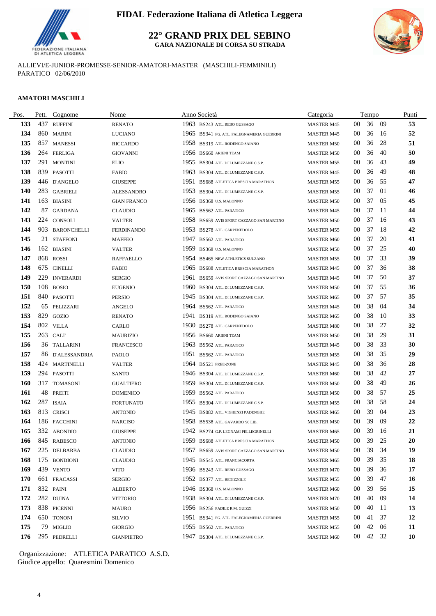

**22° GRAND PRIX DEL SEBINO GARA NAZIONALE DI CORSA SU STRADA**



ALLIEVI/E-JUNIOR-PROMESSE-SENIOR-AMATORI-MASTER (MASCHILI-FEMMINILI) PARATICO 02/06/2010

#### **AMATORI MASCHILI**

| Pos.       | Pett. | Cognome          | Nome               |      | Anno Società                              | Categoria         |                 | Tempo |     | Punti     |
|------------|-------|------------------|--------------------|------|-------------------------------------------|-------------------|-----------------|-------|-----|-----------|
| 133        |       | 437 RUFFINI      | <b>RENATO</b>      |      | 1963 BS243 ATL. REBO GUSSAGO              | <b>MASTER M45</b> | $00\,$          | 36    | -09 | 53        |
| 134        |       | 860 MARINI       | <b>LUCIANO</b>     |      | 1965 BS341 FG. ATL. FALEGNAMERIA GUERRINI | <b>MASTER M45</b> | $00\,$          | 36    | -16 | 52        |
| 135        |       | 857 MANESSI      | <b>RICCARDO</b>    |      | 1958 BS319 ATL. RODENGO SAIANO            | <b>MASTER M50</b> | 00              | 36    | 28  | 51        |
| 136        |       | 264 FERLIGA      | <b>GIOVANNI</b>    |      | 1956 BS660 ARIENI TEAM                    | <b>MASTER M50</b> | 00              | 36    | 40  | 50        |
| 137        |       | 291 MONTINI      | <b>ELIO</b>        |      | 1955 BS304 ATL. DI LUMEZZANE C.S.P.       | <b>MASTER M55</b> | $00\,$          | 36    | 43  | 49        |
| 138        |       | 839 PASOTTI      | <b>FABIO</b>       | 1963 | BS304 ATL. DI LUMEZZANE C.S.P.            | <b>MASTER M45</b> | 00              | 36    | 49  | 48        |
| 139        |       | 446 D'ANGELO     | <b>GIUSEPPE</b>    |      | 1951 BS688 ATLETICA BRESCIA MARATHON      | <b>MASTER M55</b> | 00              | 36    | 55  | 47        |
| 140        |       | 283 GABRIELI     | ALESSANDRO         |      | 1953 BS304 ATL. DI LUMEZZANE C.S.P.       | <b>MASTER M55</b> | $00\,$          | 37    | 01  | 46        |
| 141        |       | 163 BIASINI      | <b>GIAN FRANCO</b> |      | 1956 BS368 U.S. MALONNO                   | <b>MASTER M50</b> | $00\,$          | 37    | 05  | 45        |
| 142        |       | 87 GARDANA       | <b>CLAUDIO</b>     |      | 1965 BS562 ATL PARATICO                   | <b>MASTER M45</b> | $00\,$          | 37    | -11 | 44        |
| 143        |       | 224 CONSOLI      | <b>VALTER</b>      |      | 1958 BS659 AVIS SPORT CAZZAGO SAN MARTINO | <b>MASTER M50</b> | 00              | 37    | 16  | 43        |
| 144        |       | 903 BARONCHELLI  | <b>FERDINANDO</b>  |      | 1953 BS278 ATL. CARPENEDOLO               | <b>MASTER M55</b> | 00              | 37    | -18 | 42        |
| 145        |       | 21 STAFFONI      | <b>MAFFEO</b>      | 1947 | <b>BS562 ATL. PARATICO</b>                | <b>MASTER M60</b> | $00\,$          | 37    | 20  | 41        |
| 146        |       | 162 BIASINI      | <b>VALTER</b>      | 1959 | BS368 U.S. MALONNO                        | <b>MASTER M50</b> | 00              | 37    | 25  | 40        |
| 147        |       | 868 ROSSI        | <b>RAFFAELLO</b>   |      | 1954 BS465 NEW ATHLETICS SULZANO          | <b>MASTER M55</b> | $00\,$          | 37    | 33  | 39        |
| 148        |       | 675 CINELLI      | <b>FABIO</b>       |      | 1965 BS688 ATLETICA BRESCIA MARATHON      | <b>MASTER M45</b> | $00\,$          | 37    | 36  | 38        |
| 149        | 229   | <b>INVERARDI</b> | <b>SERGIO</b>      | 1961 | BS659 AVIS SPORT CAZZAGO SAN MARTINO      | <b>MASTER M45</b> | 00              | 37    | 50  | 37        |
| 150        |       | 108 BOSIO        | <b>EUGENIO</b>     | 1960 | BS304 ATL. DI LUMEZZANE C.S.P.            | <b>MASTER M50</b> | 00              | 37    | 55  | 36        |
| 151        |       | 840 PASOTTI      | PERSIO             |      | 1945 BS304 ATL. DI LUMEZZANE C.S.P.       | <b>MASTER M65</b> | $00\,$          | 37    | 57  | 35        |
| 152        | 65    | PELIZZARI        | <b>ANGELO</b>      |      | 1964 BS562 ATL. PARATICO                  | <b>MASTER M45</b> | $00\,$          | 38    | 04  | 34        |
| 153        |       | 829 GOZIO        | <b>RENATO</b>      |      | 1941 BS319 ATL. RODENGO SAIANO            | <b>MASTER M65</b> | 00              | 38    | -10 | 33        |
| 154        |       | 802 VILLA        | CARLO              | 1930 | BS278 ATL. CARPENEDOLO                    | <b>MASTER M80</b> | 00              | 38    | 27  | 32        |
| 155        |       | 263 CALI         | <b>MAURIZIO</b>    |      | 1956 BS660 ARIENI TEAM                    | <b>MASTER M50</b> | 00              | 38    | 29  | 31        |
| 156        |       | 36 TALLARINI     | <b>FRANCESCO</b>   |      | 1963 BS562 ATL. PARATICO                  | <b>MASTER M45</b> | 00              | 38    | 33  | 30        |
| 157        |       | 86 D'ALESSANDRIA | PAOLO              |      | 1951 BS562 ATL. PARATICO                  | <b>MASTER M55</b> | 00              | 38    | 35  | 29        |
| 158        |       | 424 MARTINELLI   | <b>VALTER</b>      |      | 1964 BS521 FREE-ZONE                      | <b>MASTER M45</b> | 00              | 38    | 36  | 28        |
| 159        |       | 294 PASOTTI      | <b>SANTO</b>       |      | 1946 BS304 ATL. DI LUMEZZANE C.S.P.       | <b>MASTER M60</b> | 00              | 38    | 42  | 27        |
| <b>160</b> | 317   | <b>TOMASONI</b>  | <b>GUALTIERO</b>   |      | 1959 BS304 ATL. DI LUMEZZANE C.S.P.       | <b>MASTER M50</b> | $00\,$          | 38    | 49  | 26        |
| 161        | 48    | <b>PREITI</b>    | <b>DOMENICO</b>    |      | 1959 BS562 ATL. PARATICO                  | <b>MASTER M50</b> | 00              | 38    | 57  | 25        |
| 162        |       | 287 ISAIA        | <b>FORTUNATO</b>   |      | 1955 BS304 ATL. DI LUMEZZANE C.S.P.       | <b>MASTER M55</b> | 00              | 38    | 58  | 24        |
| 163        |       | 813 CRISCI       | <b>ANTONIO</b>     |      | 1945 BS082 ATL. VIGHENZI PADENGHE         | <b>MASTER M65</b> | 00              | 39    | 04  | 23        |
| 164        |       | 186 FACCHINI     | <b>NARCISO</b>     |      | 1958 BS538 ATL. GAVARDO '90 LIB.          | <b>MASTER M50</b> | 00              | 39    | 09  | 22        |
| 165        |       | 332 ABONDIO      | <b>GIUSEPPE</b>    |      | 1942 BS274 G.P. LEGNAMI PELLEGRINELLI     | <b>MASTER M65</b> | $00\,$          | 39    | 16  | 21        |
| 166        |       | 845 RABESCO      | <b>ANTONIO</b>     |      | 1959 BS688 ATLETICA BRESCIA MARATHON      | <b>MASTER M50</b> | $00\,$          | 39    | 25  | 20        |
| 167        |       | 225 DELBARBA     | <b>CLAUDIO</b>     |      | 1957 BS659 AVIS SPORT CAZZAGO SAN MARTINO | <b>MASTER M50</b> | 00              | 39    | 34  | 19        |
| 168        |       | 175 BONDIONI     | <b>CLAUDIO</b>     |      | 1945 BS545 ATL. FRANCIACORTA              | <b>MASTER M65</b> | $00\,$          | 39    | 35  | 18        |
| 169        |       | 439 VENTO        | VITO               |      | 1936 BS243 ATL. REBO GUSSAGO              | <b>MASTER M70</b> | $00\,$          | 39    | 36  | 17        |
| 170        |       | 661 FRACASSI     | <b>SERGIO</b>      |      | 1952 BS377 ATL. BEDIZZOLE                 | <b>MASTER M55</b> | $00\,$          | 39    | 47  | 16        |
| 171        |       | 832 PAINI        | <b>ALBERTO</b>     |      | 1946 BS368 U.S. MALONNO                   | <b>MASTER M60</b> | $00\,$          | 39    | 56  | 15        |
| 172        |       | 282 DUINA        | <b>VITTORIO</b>    |      | 1938 BS304 ATL. DI LUMEZZANE C.S.P.       | <b>MASTER M70</b> | 00              | 40    | 09  | 14        |
| 173        |       | 838 PICENNI      | <b>MAURO</b>       |      | 1956 BS256 PADILE R.M. GUIZZI             | <b>MASTER M50</b> | $00\,$          | 40    | 11  | 13        |
| 174        |       | 650 TONONI       | <b>SILVIO</b>      |      | 1951 BS341 FG. ATL. FALEGNAMERIA GUERRINI | <b>MASTER M55</b> | 00              | 41    | 37  | 12        |
| 175        |       | 79 MIGLIO        | <b>GIORGIO</b>     |      | 1955 BS562 ATL PARATICO                   | <b>MASTER M55</b> | 00              | 42    | 06  | <b>11</b> |
| 176        |       | 295 PEDRELLI     | <b>GIANPIETRO</b>  |      | 1947 BS304 ATL. DI LUMEZZANE C.S.P.       | <b>MASTER M60</b> | 00 <sup>1</sup> | 42    | 32  | <b>10</b> |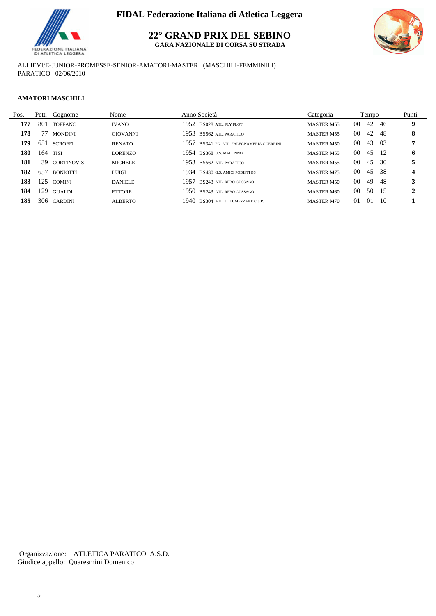

**22° GRAND PRIX DEL SEBINO**

**GARA NAZIONALE DI CORSA SU STRADA**



ALLIEVI/E-JUNIOR-PROMESSE-SENIOR-AMATORI-MASTER (MASCHILI-FEMMINILI) PARATICO 02/06/2010

#### **AMATORI MASCHILI**

| Pos. |     | Pett. Cognome   | Nome            | Anno Società                              | Categoria         |                 | Tempo |                 | Punti |
|------|-----|-----------------|-----------------|-------------------------------------------|-------------------|-----------------|-------|-----------------|-------|
| 177  |     | 801 TOFFANO     | <b>IVANO</b>    | 1952 BS028 ATL FLY FLOT                   | <b>MASTER M55</b> | 00 <sup>°</sup> | 42    | -46             | 9     |
| 178  | 77  | <b>MONDINI</b>  | <b>GIOVANNI</b> | 1953 BS562 ATL PARATICO                   | <b>MASTER M55</b> | 00 <sup>°</sup> | 42    | -48             | 8     |
| 179  |     | 651 SCROFFI     | <b>RENATO</b>   | 1957 BS341 FG. ATL. FALEGNAMERIA GUERRINI | <b>MASTER M50</b> | 00 <sup>°</sup> | 43 03 |                 |       |
| 180  |     | $164$ TISI      | <b>LORENZO</b>  | 1954 BS368 U.S. MALONNO                   | <b>MASTER M55</b> | 00 <sup>°</sup> | 45 12 |                 | 6     |
| 181  |     | 39 CORTINOVIS   | <b>MICHELE</b>  | 1953 BS562 ATL PARATICO                   | <b>MASTER M55</b> | 00 <sup>°</sup> | 45    | - 30            |       |
| 182  | 657 | <b>BONIOTTI</b> | LUIGI           | 1934 BS430 G.S. AMICI PODISTI BS          | <b>MASTER M75</b> | 00 <sup>1</sup> | -45   | - 38            | 4     |
| 183  |     | 125 COMINI      | <b>DANIELE</b>  | 1957 BS243 ATL. REBO GUSSAGO              | <b>MASTER M50</b> | 00 <sup>1</sup> | 49    | -48             | 3     |
| 184  | 129 | <b>GUALDI</b>   | <b>ETTORE</b>   | 1950 BS243 ATL REBO GUSSAGO               | <b>MASTER M60</b> | 00 <sup>°</sup> | 50 15 |                 | 2     |
| 185  |     | 306 CARDINI     | <b>ALBERTO</b>  | 1940 BS304 ATL. DI LUMEZZANE C.S.P.       | <b>MASTER M70</b> | 01              | -01   | $\overline{10}$ |       |
|      |     |                 |                 |                                           |                   |                 |       |                 |       |